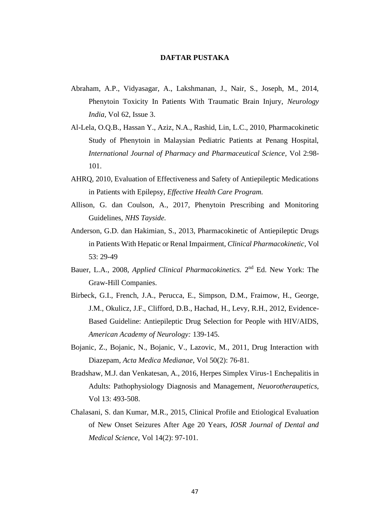## **DAFTAR PUSTAKA**

- Abraham, A.P., Vidyasagar, A., Lakshmanan, J., Nair, S., Joseph, M., 2014, Phenytoin Toxicity In Patients With Traumatic Brain Injury, *Neurology India,* Vol 62, Issue 3.
- Al-Lela, O.Q.B., Hassan Y., Aziz, N.A., Rashid, Lin, L.C., 2010, Pharmacokinetic Study of Phenytoin in Malaysian Pediatric Patients at Penang Hospital, *International Journal of Pharmacy and Pharmaceutical Science,* Vol 2:98- 101.
- AHRQ, 2010, Evaluation of Effectiveness and Safety of Antiepileptic Medications in Patients with Epilepsy, *Effective Health Care Program.*
- Allison, G. dan Coulson, A., 2017, Phenytoin Prescribing and Monitoring Guidelines, *NHS Tayside.*
- Anderson, G.D. dan Hakimian, S., 2013, Pharmacokinetic of Antiepileptic Drugs in Patients With Hepatic or Renal Impairment, *Clinical Pharmacokinetic,* Vol 53: 29-49
- Bauer, L.A., 2008, *Applied Clinical Pharmacokinetics*. 2<sup>nd</sup> Ed. New York: The Graw-Hill Companies.
- Birbeck, G.I., French, J.A., Perucca, E., Simpson, D.M., Fraimow, H., George, J.M., Okulicz, J.F., Clifford, D.B., Hachad, H., Levy, R.H., 2012, Evidence-Based Guideline: Antiepileptic Drug Selection for People with HIV/AIDS, *American Academy of Neurology:* 139-145.
- Bojanic, Z., Bojanic, N., Bojanic, V., Lazovic, M., 2011, Drug Interaction with Diazepam, *Acta Medica Medianae,* Vol 50(2): 76-81.
- Bradshaw, M.J. dan Venkatesan, A., 2016, Herpes Simplex Virus-1 Enchepalitis in Adults: Pathophysiology Diagnosis and Management, *Neuorotheraupetics,*  Vol 13: 493-508.
- Chalasani, S. dan Kumar, M.R., 2015, Clinical Profile and Etiological Evaluation of New Onset Seizures After Age 20 Years, *IOSR Journal of Dental and Medical Science,* Vol 14(2): 97-101.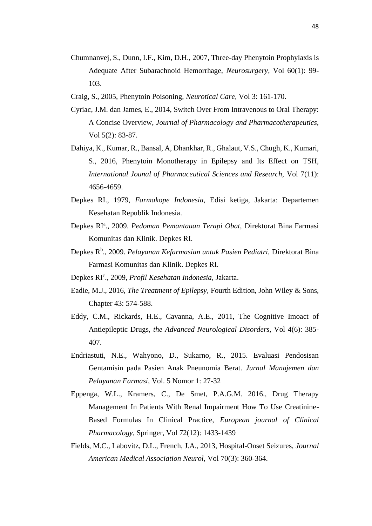- Chumnanvej, S., Dunn, I.F., Kim, D.H., 2007, Three-day Phenytoin Prophylaxis is Adequate After Subarachnoid Hemorrhage, *Neurosurgery,* Vol 60(1): 99- 103.
- Craig, S., 2005, Phenytoin Poisoning, *Neurotical Care,* Vol 3: 161-170.
- Cyriac, J.M. dan James, E., 2014, Switch Over From Intravenous to Oral Therapy: A Concise Overview, *Journal of Pharmacology and Pharmacotherapeutics,*  Vol 5(2): 83-87.
- Dahiya, K., Kumar, R., Bansal, A, Dhankhar, R., Ghalaut, V.S., Chugh, K., Kumari, S., 2016, Phenytoin Monotherapy in Epilepsy and Its Effect on TSH, *International Jounal of Pharmaceutical Sciences and Research,* Vol 7(11): 4656-4659.
- Depkes RI., 1979, *Farmakope Indonesia,* Edisi ketiga, Jakarta: Departemen Kesehatan Republik Indonesia.
- Depkes RI<sup>a</sup>., 2009. *Pedoman Pemantauan Terapi Obat*, Direktorat Bina Farmasi Komunitas dan Klinik. Depkes RI.
- Depkes R<sup>b</sup>., 2009. *Pelayanan Kefarmasian untuk Pasien Pediatri*, Direktorat Bina Farmasi Komunitas dan Klinik. Depkes RI.
- Depkes RI<sup>c</sup>., 2009, *Profil Kesehatan Indonesia*, Jakarta.
- Eadie, M.J., 2016, *The Treatment of Epilepsy,* Fourth Edition, John Wiley & Sons, Chapter 43: 574-588.
- Eddy, C.M., Rickards, H.E., Cavanna, A.E., 2011, The Cognitive Imoact of Antiepileptic Drugs, *the Advanced Neurological Disorders,* Vol 4(6): 385- 407.
- Endriastuti, N.E., Wahyono, D., Sukarno, R., 2015. Evaluasi Pendosisan Gentamisin pada Pasien Anak Pneunomia Berat. *Jurnal Manajemen dan Pelayanan Farmasi,* Vol. 5 Nomor 1: 27-32
- Eppenga, W.L., Kramers, C., De Smet, P.A.G.M. 2016., Drug Therapy Management In Patients With Renal Impairment How To Use Creatinine-Based Formulas In Clinical Practice, *European journal of Clinical Pharmacology,* Springer, Vol 72(12): 1433-1439
- Fields, M.C., Labovitz, D.L., French, J.A., 2013, Hospital-Onset Seizures, *Journal American Medical Association Neurol,* Vol 70(3): 360-364.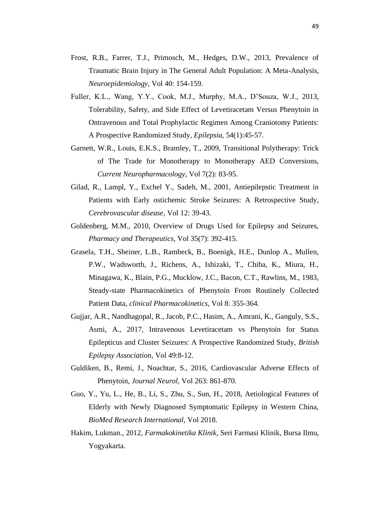- Frost, R.B., Farrer, T.J., Primosch, M., Hedges, D.W., 2013, Prevalence of Traumatic Brain Injury in The General Adult Population: A Meta-Analysis, *Neuroepidemiology,* Vol 40: 154-159.
- Fuller, K.L., Wang, Y.Y., Cook, M.J., Murphy, M.A., D'Souza, W.J., 2013, Tolerability, Safety, and Side Effect of Levetiracetam Versus Phenytoin in Ontravenous and Total Prophylactic Regimen Among Craniotomy Patients: A Prospective Randomized Study, *Epilepsia,* 54(1):45-57.
- Garnett, W.R., Louis, E.K.S., Bramley, T., 2009, Transitional Polytherapy: Trick of The Trade for Monotherapy to Monotherapy AED Conversions, *Current Neuropharmacology,* Vol 7(2): 83-95.
- Gilad, R., Lampl, Y., Exchel Y., Sadeh, M., 2001, Antiepilepstic Treatment in Patients with Early ostichemic Stroke Seizures: A Retrospective Study, *Cerebrovascular disease,* Vol 12: 39-43.
- Goldenberg, M.M., 2010, Overview of Drugs Used for Epilepsy and Seizures, *Pharmacy and Therapeutics,* Vol 35(7): 392-415.
- Grasela, T.H., Sheiner, L.B., Rambeck, B., Boenigk, H.E., Dunlop A., Mullen, P.W., Wadsworth, J., Richens, A., Ishizaki, T., Chiba, K., Miura, H., Minagawa, K., Blain, P.G., Mucklow, J.C., Bacon, C.T., Rawlins, M., 1983, Steady-state Pharmacokinetics of Phenytoin From Routinely Collected Patient Data, *clinical Pharmacokinetics,* Vol 8: 355-364.
- Gujjar, A.R., Nandhagopal, R., Jacob, P.C., Hasim, A., Amrani, K., Ganguly, S.S., Asmi, A., 2017, Intravenous Levetiracetam vs Phenytoin for Status Epilepticus and Cluster Seizures: A Prospective Randomized Study, *British Epilepsy Association,* Vol 49:8-12.
- Guldiken, B., Remi, J., Noachtar, S., 2016, Cardiovascular Adverse Effects of Phenytoin, *Journal Neurol,* Vol 263: 861-870.
- Guo, Y., Yu, L., He, B., Li, S., Zhu, S., Sun, H., 2018, Aetiological Features of Elderly with Newly Diagnosed Symptomatic Epilepsy in Western China, *BioMed Research International,* Vol 2018.
- Hakim, Lukman., 2012, *Farmakokinetika Klinik,* Seri Farmasi Klinik, Bursa Ilmu, Yogyakarta.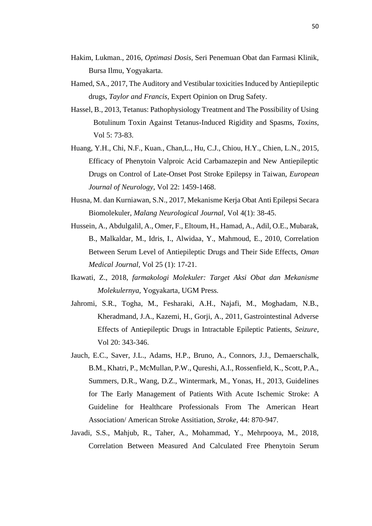- Hakim, Lukman., 2016, *Optimasi Dosis,* Seri Penemuan Obat dan Farmasi Klinik, Bursa Ilmu, Yogyakarta.
- Hamed, SA., 2017, The Auditory and Vestibular toxicities Induced by Antiepileptic drugs, *Taylor and Francis*, Expert Opinion on Drug Safety.
- Hassel, B., 2013, Tetanus: Pathophysiology Treatment and The Possibility of Using Botulinum Toxin Against Tetanus-Induced Rigidity and Spasms, *Toxins,*  Vol 5: 73-83.
- Huang, Y.H., Chi, N.F., Kuan., Chan,L., Hu, C.J., Chiou, H.Y., Chien, L.N., 2015, Efficacy of Phenytoin Valproic Acid Carbamazepin and New Antiepileptic Drugs on Control of Late-Onset Post Stroke Epilepsy in Taiwan, *European Journal of Neurology,* Vol 22: 1459-1468.
- Husna, M. dan Kurniawan, S.N., 2017, Mekanisme Kerja Obat Anti Epilepsi Secara Biomolekuler, *Malang Neurological Journal,* Vol 4(1): 38-45.
- Hussein, A., Abdulgalil, A., Omer, F., Eltoum, H., Hamad, A., Adil, O.E., Mubarak, B., Malkaldar, M., Idris, I., Alwidaa, Y., Mahmoud, E., 2010, Correlation Between Serum Level of Antiepileptic Drugs and Their Side Effects, *Oman Medical Journal,* Vol 25 (1): 17-21.
- Ikawati, Z., 2018, *farmakologi Molekuler: Target Aksi Obat dan Mekanisme Molekulernya,* Yogyakarta, UGM Press.
- Jahromi, S.R., Togha, M., Fesharaki, A.H., Najafi, M., Moghadam, N.B., Kheradmand, J.A., Kazemi, H., Gorji, A., 2011, Gastrointestinal Adverse Effects of Antiepileptic Drugs in Intractable Epileptic Patients, *Seizure,*  Vol 20: 343-346.
- Jauch, E.C., Saver, J.L., Adams, H.P., Bruno, A., Connors, J.J., Demaerschalk, B.M., Khatri, P., McMullan, P.W., Qureshi, A.I., Rossenfield, K., Scott, P.A., Summers, D.R., Wang, D.Z., Wintermark, M., Yonas, H., 2013, Guidelines for The Early Management of Patients With Acute Ischemic Stroke: A Guideline for Healthcare Professionals From The American Heart Association/ American Stroke Assitiation, *Stroke,* 44: 870-947.
- Javadi, S.S., Mahjub, R., Taher, A., Mohammad, Y., Mehrpooya, M., 2018, Correlation Between Measured And Calculated Free Phenytoin Serum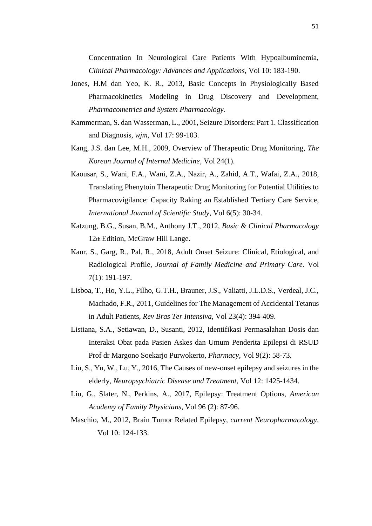Concentration In Neurological Care Patients With Hypoalbuminemia, *Clinical Pharmacology: Advances and Applications,* Vol 10: 183-190.

- Jones, H.M dan Yeo, K. R., 2013, Basic Concepts in Physiologically Based Pharmacokinetics Modeling in Drug Discovery and Development, *Pharmacometrics and System Pharmacology*.
- Kammerman, S. dan Wasserman, L., 2001, Seizure Disorders: Part 1. Classification and Diagnosis, *wjm,* Vol 17: 99-103.
- Kang, J.S. dan Lee, M.H., 2009, Overview of Therapeutic Drug Monitoring, *The Korean Journal of Internal Medicine*, Vol 24(1).
- Kaousar, S., Wani, F.A., Wani, Z.A., Nazir, A., Zahid, A.T., Wafai, Z.A., 2018, Translating Phenytoin Therapeutic Drug Monitoring for Potential Utilities to Pharmacovigilance: Capacity Raking an Established Tertiary Care Service, *International Journal of Scientific Study,* Vol 6(5): 30-34.
- Katzung, B.G., Susan, B.M., Anthony J.T., 2012, *Basic & Clinical Pharmacology*  12th Edition, McGraw Hill Lange.
- Kaur, S., Garg, R., Pal, R., 2018, Adult Onset Seizure: Clinical, Etiological, and Radiological Profile, *Journal of Family Medicine and Primary Care.* Vol 7(1): 191-197.
- Lisboa, T., Ho, Y.L., Filho, G.T.H., Brauner, J.S., Valiatti, J.L.D.S., Verdeal, J.C., Machado, F.R., 2011, Guidelines for The Management of Accidental Tetanus in Adult Patients, *Rev Bras Ter Intensiva,* Vol 23(4): 394-409.
- Listiana, S.A., Setiawan, D., Susanti, 2012, Identifikasi Permasalahan Dosis dan Interaksi Obat pada Pasien Askes dan Umum Penderita Epilepsi di RSUD Prof dr Margono Soekarjo Purwokerto, *Pharmacy,* Vol 9(2): 58-73.
- Liu, S., Yu, W., Lu, Y., 2016, The Causes of new-onset epilepsy and seizures in the elderly, *Neuropsychiatric Disease and Treatment*, Vol 12: 1425-1434.
- Liu, G., Slater, N., Perkins, A., 2017, Epilepsy: Treatment Options, *American Academy of Family Physicians,* Vol 96 (2): 87-96.
- Maschio, M., 2012, Brain Tumor Related Epilepsy, *current Neuropharmacology,*  Vol 10: 124-133.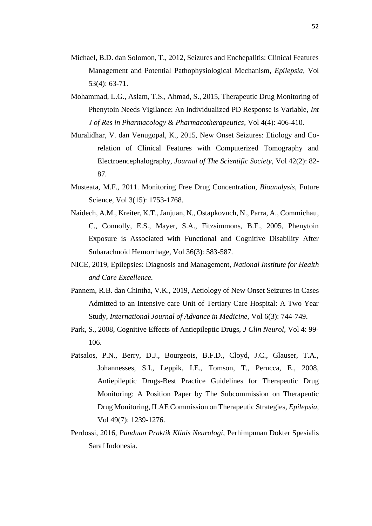- Michael, B.D. dan Solomon, T., 2012, Seizures and Enchepalitis: Clinical Features Management and Potential Pathophysiological Mechanism, *Epilepsia,* Vol 53(4): 63-71.
- Mohammad, L.G., Aslam, T.S., Ahmad, S., 2015, Therapeutic Drug Monitoring of Phenytoin Needs Vigilance: An Individualized PD Response is Variable, *Int J of Res in Pharmacology & Pharmacotherapeutics,* Vol 4(4): 406-410.
- Muralidhar, V. dan Venugopal, K., 2015, New Onset Seizures: Etiology and Corelation of Clinical Features with Computerized Tomography and Electroencephalography, *Journal of The Scientific Society,* Vol 42(2): 82- 87.
- Musteata, M.F., 2011. Monitoring Free Drug Concentration, *Bioanalysis,* Future Science, Vol 3(15): 1753-1768.
- Naidech, A.M., Kreiter, K.T., Janjuan, N., Ostapkovuch, N., Parra, A., Commichau, C., Connolly, E.S., Mayer, S.A., Fitzsimmons, B.F., 2005, Phenytoin Exposure is Associated with Functional and Cognitive Disability After Subarachnoid Hemorrhage, Vol 36(3): 583-587.
- NICE, 2019, Epilepsies: Diagnosis and Management, *National Institute for Health and Care Excellence.*
- Pannem, R.B. dan Chintha, V.K., 2019, Aetiology of New Onset Seizures in Cases Admitted to an Intensive care Unit of Tertiary Care Hospital: A Two Year Study, *International Journal of Advance in Medicine,* Vol 6(3): 744-749.
- Park, S., 2008, Cognitive Effects of Antiepileptic Drugs, *J Clin Neurol,* Vol 4: 99- 106.
- Patsalos, P.N., Berry, D.J., Bourgeois, B.F.D., Cloyd, J.C., Glauser, T.A., Johannesses, S.I., Leppik, I.E., Tomson, T., Perucca, E., 2008, Antiepileptic Drugs-Best Practice Guidelines for Therapeutic Drug Monitoring: A Position Paper by The Subcommission on Therapeutic Drug Monitoring, ILAE Commission on Therapeutic Strategies, *Epilepsia,*  Vol 49(7): 1239-1276.
- Perdossi, 2016, *Panduan Praktik Klinis Neurologi,* Perhimpunan Dokter Spesialis Saraf Indonesia.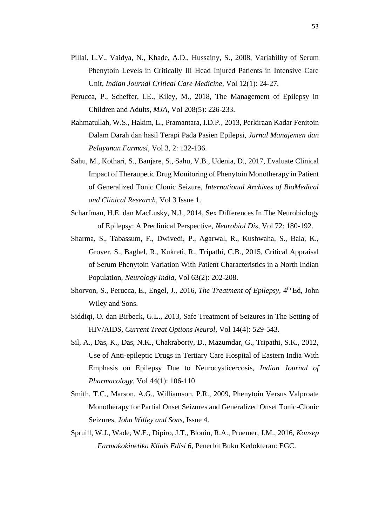- Pillai, L.V., Vaidya, N., Khade, A.D., Hussainy, S., 2008, Variability of Serum Phenytoin Levels in Critically Ill Head Injured Patients in Intensive Care Unit, *Indian Journal Critical Care Medicine,* Vol 12(1): 24-27.
- Perucca, P., Scheffer, I.E., Kiley, M., 2018, The Management of Epilepsy in Children and Adults, *MJA,* Vol 208(5): 226-233.
- Rahmatullah, W.S., Hakim, L., Pramantara, I.D.P., 2013, Perkiraan Kadar Fenitoin Dalam Darah dan hasil Terapi Pada Pasien Epilepsi, *Jurnal Manajemen dan Pelayanan Farmasi,* Vol 3, 2: 132-136.
- Sahu, M., Kothari, S., Banjare, S., Sahu, V.B., Udenia, D., 2017, Evaluate Clinical Impact of Theraupetic Drug Monitoring of Phenytoin Monotherapy in Patient of Generalized Tonic Clonic Seizure, *International Archives of BioMedical and Clinical Research,* Vol 3 Issue 1.
- Scharfman, H.E. dan MacLusky, N.J., 2014, Sex Differences In The Neurobiology of Epilepsy: A Preclinical Perspective, *Neurobiol Dis,* Vol 72: 180-192.
- Sharma, S., Tabassum, F., Dwivedi, P., Agarwal, R., Kushwaha, S., Bala, K., Grover, S., Baghel, R., Kukreti, R., Tripathi, C.B., 2015, Critical Appraisal of Serum Phenytoin Variation With Patient Characteristics in a North Indian Population, *Neurology India,* Vol 63(2): 202-208.
- Shorvon, S., Perucca, E., Engel, J., 2016, *The Treatment of Epilepsy*, 4<sup>th</sup> Ed, John Wiley and Sons.
- Siddiqi, O. dan Birbeck, G.L., 2013, Safe Treatment of Seizures in The Setting of HIV/AIDS, *Current Treat Options Neurol,* Vol 14(4): 529-543.
- Sil, A., Das, K., Das, N.K., Chakraborty, D., Mazumdar, G., Tripathi, S.K., 2012, Use of Anti-epileptic Drugs in Tertiary Care Hospital of Eastern India With Emphasis on Epilepsy Due to Neurocysticercosis, *Indian Journal of Pharmacology,* Vol 44(1): 106-110
- Smith, T.C., Marson, A.G., Williamson, P.R., 2009, Phenytoin Versus Valproate Monotherapy for Partial Onset Seizures and Generalized Onset Tonic-Clonic Seizures, *John Willey and Sons*, Issue 4.
- Spruill, W.J., Wade, W.E., Dipiro, J.T., Blouin, R.A., Pruemer, J.M., 2016, *Konsep Farmakokinetika Klinis Edisi 6*, Penerbit Buku Kedokteran: EGC.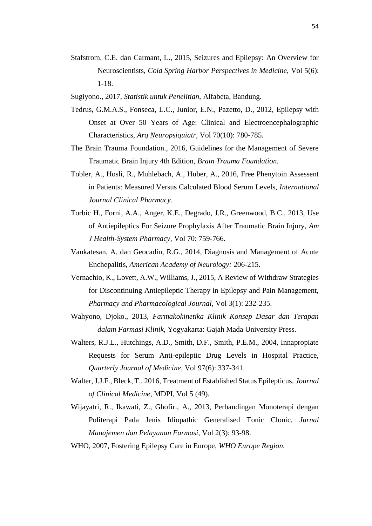- Stafstrom, C.E. dan Carmant, L., 2015, Seizures and Epilepsy: An Overview for Neuroscientists, *Cold Spring Harbor Perspectives in Medicine,* Vol 5(6): 1-18.
- Sugiyono., 2017, *Statistik untuk Penelitian,* Alfabeta, Bandung.
- Tedrus, G.M.A.S., Fonseca, L.C., Junior, E.N., Pazetto, D., 2012, Epilepsy with Onset at Over 50 Years of Age: Clinical and Electroencephalographic Characteristics, *Arq Neuropsiquiatr,* Vol 70(10): 780-785.
- The Brain Trauma Foundation., 2016, Guidelines for the Management of Severe Traumatic Brain Injury 4th Edition, *Brain Trauma Foundation.*
- Tobler, A., Hosli, R., Muhlebach, A., Huber, A., 2016, Free Phenytoin Assessent in Patients: Measured Versus Calculated Blood Serum Levels, *International Journal Clinical Pharmacy*.
- Torbic H., Forni, A.A., Anger, K.E., Degrado, J.R., Greenwood, B.C., 2013, Use of Antiepileptics For Seizure Prophylaxis After Traumatic Brain Injury, *Am J Health-System Pharmacy,* Vol 70: 759-766.
- Vankatesan, A. dan Geocadin, R.G., 2014, Diagnosis and Management of Acute Enchepalitis, *American Academy of Neurology:* 206-215.
- Vernachio, K., Lovett, A.W., Williams, J., 2015, A Review of Withdraw Strategies for Discontinuing Antiepileptic Therapy in Epilepsy and Pain Management, *Pharmacy and Pharmacological Journal,* Vol 3(1): 232-235.
- Wahyono, Djoko., 2013, *Farmakokinetika Klinik Konsep Dasar dan Terapan dalam Farmasi Klinik,* Yogyakarta: Gajah Mada University Press.
- Walters, R.J.L., Hutchings, A.D., Smith, D.F., Smith, P.E.M., 2004, Innapropiate Requests for Serum Anti-epileptic Drug Levels in Hospital Practice, *Quarterly Journal of Medicine,* Vol 97(6): 337-341.
- Walter, J.J.F., Bleck, T., 2016, Treatment of Established Status Epilepticus, *Journal of Clinical Medicine,* MDPI, Vol 5 (49).
- Wijayatri, R., Ikawati, Z., Ghofir., A., 2013, Perbandingan Monoterapi dengan Politerapi Pada Jenis Idiopathic Generalised Tonic Clonic, *Jurnal Manajemen dan Pelayanan Farmasi,* Vol 2(3): 93-98.
- WHO, 2007, Fostering Epilepsy Care in Europe, *WHO Europe Region.*